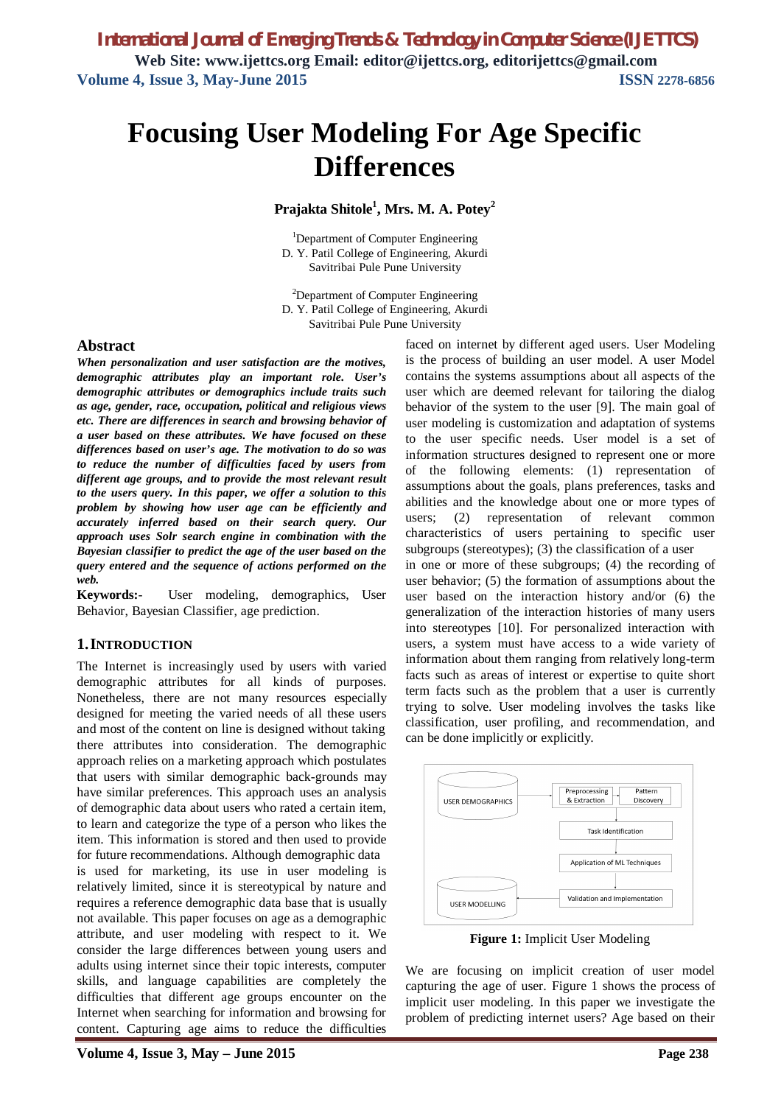# **Focusing User Modeling For Age Specific Differences**

**Prajakta Shitole<sup>1</sup> , Mrs. M. A. Potey<sup>2</sup>**

<sup>1</sup>Department of Computer Engineering D. Y. Patil College of Engineering, Akurdi Savitribai Pule Pune University

<sup>2</sup>Department of Computer Engineering D. Y. Patil College of Engineering, Akurdi Savitribai Pule Pune University

#### **Abstract**

*When personalization and user satisfaction are the motives, demographic attributes play an important role. User's demographic attributes or demographics include traits such as age, gender, race, occupation, political and religious views etc. There are differences in search and browsing behavior of a user based on these attributes. We have focused on these differences based on user's age. The motivation to do so was to reduce the number of difficulties faced by users from different age groups, and to provide the most relevant result to the users query. In this paper, we offer a solution to this problem by showing how user age can be efficiently and accurately inferred based on their search query. Our approach uses Solr search engine in combination with the Bayesian classifier to predict the age of the user based on the query entered and the sequence of actions performed on the web.*

**Keywords:**- User modeling, demographics, User Behavior, Bayesian Classifier, age prediction.

#### **1.INTRODUCTION**

The Internet is increasingly used by users with varied demographic attributes for all kinds of purposes. Nonetheless, there are not many resources especially designed for meeting the varied needs of all these users and most of the content on line is designed without taking there attributes into consideration. The demographic approach relies on a marketing approach which postulates that users with similar demographic back-grounds may have similar preferences. This approach uses an analysis of demographic data about users who rated a certain item, to learn and categorize the type of a person who likes the item. This information is stored and then used to provide for future recommendations. Although demographic data is used for marketing, its use in user modeling is relatively limited, since it is stereotypical by nature and requires a reference demographic data base that is usually not available. This paper focuses on age as a demographic attribute, and user modeling with respect to it. We consider the large differences between young users and adults using internet since their topic interests, computer skills, and language capabilities are completely the difficulties that different age groups encounter on the Internet when searching for information and browsing for content. Capturing age aims to reduce the difficulties

faced on internet by different aged users. User Modeling is the process of building an user model. A user Model contains the systems assumptions about all aspects of the user which are deemed relevant for tailoring the dialog behavior of the system to the user [9]. The main goal of user modeling is customization and adaptation of systems to the user specific needs. User model is a set of information structures designed to represent one or more of the following elements: (1) representation of assumptions about the goals, plans preferences, tasks and abilities and the knowledge about one or more types of users; (2) representation of relevant common characteristics of users pertaining to specific user subgroups (stereotypes); (3) the classification of a user in one or more of these subgroups; (4) the recording of user behavior; (5) the formation of assumptions about the user based on the interaction history and/or (6) the generalization of the interaction histories of many users into stereotypes [10]. For personalized interaction with users, a system must have access to a wide variety of information about them ranging from relatively long-term facts such as areas of interest or expertise to quite short term facts such as the problem that a user is currently trying to solve. User modeling involves the tasks like classification, user profiling, and recommendation, and can be done implicitly or explicitly.



**Figure 1:** Implicit User Modeling

We are focusing on implicit creation of user model capturing the age of user. Figure 1 shows the process of implicit user modeling. In this paper we investigate the problem of predicting internet users? Age based on their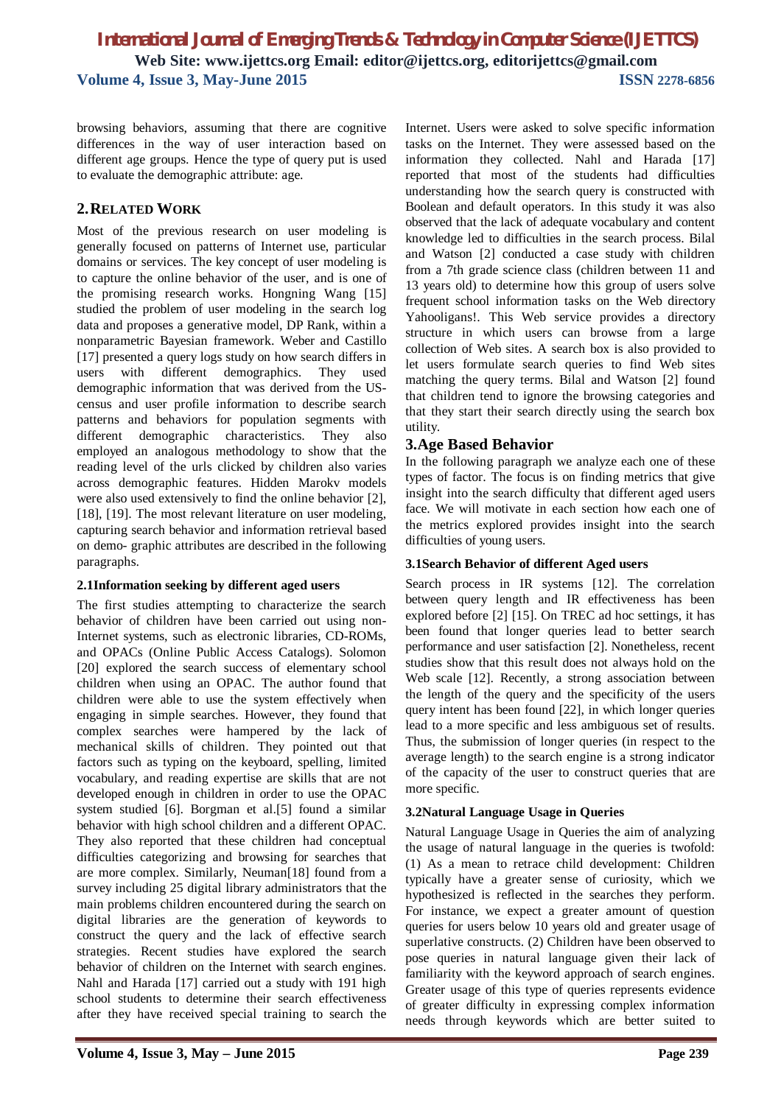browsing behaviors, assuming that there are cognitive differences in the way of user interaction based on different age groups. Hence the type of query put is used to evaluate the demographic attribute: age.

## **2.RELATED WORK**

Most of the previous research on user modeling is generally focused on patterns of Internet use, particular domains or services. The key concept of user modeling is to capture the online behavior of the user, and is one of the promising research works. Hongning Wang [15] studied the problem of user modeling in the search log data and proposes a generative model, DP Rank, within a nonparametric Bayesian framework. Weber and Castillo [17] presented a query logs study on how search differs in users with different demographics. They used demographic information that was derived from the UScensus and user profile information to describe search patterns and behaviors for population segments with different demographic characteristics. They also employed an analogous methodology to show that the reading level of the urls clicked by children also varies across demographic features. Hidden Marokv models were also used extensively to find the online behavior [2], [18], [19]. The most relevant literature on user modeling, capturing search behavior and information retrieval based on demo- graphic attributes are described in the following paragraphs.

#### **2.1Information seeking by different aged users**

The first studies attempting to characterize the search behavior of children have been carried out using non-Internet systems, such as electronic libraries, CD-ROMs, and OPACs (Online Public Access Catalogs). Solomon [20] explored the search success of elementary school children when using an OPAC. The author found that children were able to use the system effectively when engaging in simple searches. However, they found that complex searches were hampered by the lack of mechanical skills of children. They pointed out that factors such as typing on the keyboard, spelling, limited vocabulary, and reading expertise are skills that are not developed enough in children in order to use the OPAC system studied [6]. Borgman et al.[5] found a similar behavior with high school children and a different OPAC. They also reported that these children had conceptual difficulties categorizing and browsing for searches that are more complex. Similarly, Neuman[18] found from a survey including 25 digital library administrators that the main problems children encountered during the search on digital libraries are the generation of keywords to construct the query and the lack of effective search strategies. Recent studies have explored the search behavior of children on the Internet with search engines. Nahl and Harada [17] carried out a study with 191 high school students to determine their search effectiveness after they have received special training to search the Internet. Users were asked to solve specific information tasks on the Internet. They were assessed based on the information they collected. Nahl and Harada [17] reported that most of the students had difficulties understanding how the search query is constructed with Boolean and default operators. In this study it was also observed that the lack of adequate vocabulary and content knowledge led to difficulties in the search process. Bilal and Watson [2] conducted a case study with children from a 7th grade science class (children between 11 and 13 years old) to determine how this group of users solve frequent school information tasks on the Web directory Yahooligans!. This Web service provides a directory structure in which users can browse from a large collection of Web sites. A search box is also provided to let users formulate search queries to find Web sites matching the query terms. Bilal and Watson [2] found that children tend to ignore the browsing categories and that they start their search directly using the search box utility.

## **3.Age Based Behavior**

In the following paragraph we analyze each one of these types of factor. The focus is on finding metrics that give insight into the search difficulty that different aged users face. We will motivate in each section how each one of the metrics explored provides insight into the search difficulties of young users.

#### **3.1Search Behavior of different Aged users**

Search process in IR systems [12]. The correlation between query length and IR effectiveness has been explored before [2] [15]. On TREC ad hoc settings, it has been found that longer queries lead to better search performance and user satisfaction [2]. Nonetheless, recent studies show that this result does not always hold on the Web scale [12]. Recently, a strong association between the length of the query and the specificity of the users query intent has been found [22], in which longer queries lead to a more specific and less ambiguous set of results. Thus, the submission of longer queries (in respect to the average length) to the search engine is a strong indicator of the capacity of the user to construct queries that are more specific.

## **3.2Natural Language Usage in Queries**

Natural Language Usage in Queries the aim of analyzing the usage of natural language in the queries is twofold: (1) As a mean to retrace child development: Children typically have a greater sense of curiosity, which we hypothesized is reflected in the searches they perform. For instance, we expect a greater amount of question queries for users below 10 years old and greater usage of superlative constructs. (2) Children have been observed to pose queries in natural language given their lack of familiarity with the keyword approach of search engines. Greater usage of this type of queries represents evidence of greater difficulty in expressing complex information needs through keywords which are better suited to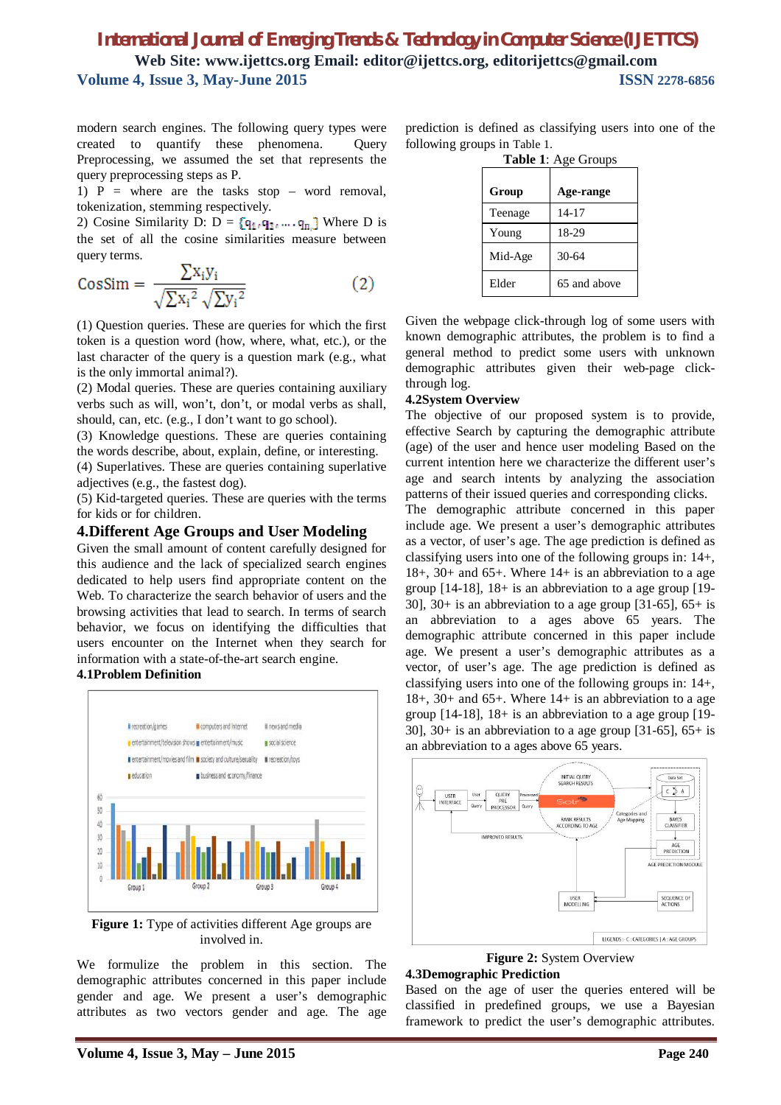modern search engines. The following query types were created to quantify these phenomena. Query Preprocessing, we assumed the set that represents the query preprocessing steps as P.

1)  $P =$  where are the tasks stop – word removal, tokenization, stemming respectively.

2) Cosine Similarity D:  $D = \{q_{1i}, q_{2i}, \dots, q_{n}\}\$  Where D is the set of all the cosine similarities measure between query terms.

$$
CosSim = \frac{\sum x_i y_i}{\sqrt{\sum x_i^2} \sqrt{\sum y_i^2}}
$$
 (2)

(1) Question queries. These are queries for which the first token is a question word (how, where, what, etc.), or the last character of the query is a question mark (e.g., what is the only immortal animal?).

(2) Modal queries. These are queries containing auxiliary verbs such as will, won't, don't, or modal verbs as shall, should, can, etc. (e.g., I don't want to go school).

(3) Knowledge questions. These are queries containing the words describe, about, explain, define, or interesting.

(4) Superlatives. These are queries containing superlative adjectives (e.g., the fastest dog).

(5) Kid-targeted queries. These are queries with the terms for kids or for children.

#### **4.Different Age Groups and User Modeling**

Given the small amount of content carefully designed for this audience and the lack of specialized search engines dedicated to help users find appropriate content on the Web. To characterize the search behavior of users and the browsing activities that lead to search. In terms of search behavior, we focus on identifying the difficulties that users encounter on the Internet when they search for information with a state-of-the-art search engine.

#### **4.1Problem Definition**



**Figure 1:** Type of activities different Age groups are involved in.

We formulize the problem in this section. The demographic attributes concerned in this paper include gender and age. We present a user's demographic attributes as two vectors gender and age. The age

prediction is defined as classifying users into one of the following groups in Table 1.

| Table 1: Age Groups |              |  |  |
|---------------------|--------------|--|--|
| Group<br>Age-range  |              |  |  |
| Teenage             | $14 - 17$    |  |  |
| Young               | 18-29        |  |  |
| Mid-Age             | 30-64        |  |  |
| Elder               | 65 and above |  |  |

Given the webpage click-through log of some users with known demographic attributes, the problem is to find a general method to predict some users with unknown demographic attributes given their web-page clickthrough log.

#### **4.2System Overview**

The objective of our proposed system is to provide, effective Search by capturing the demographic attribute (age) of the user and hence user modeling Based on the current intention here we characterize the different user's age and search intents by analyzing the association patterns of their issued queries and corresponding clicks.

The demographic attribute concerned in this paper include age. We present a user's demographic attributes as a vector, of user's age. The age prediction is defined as classifying users into one of the following groups in: 14+, 18+, 30+ and 65+. Where 14+ is an abbreviation to a age group [14-18], 18+ is an abbreviation to a age group [19- 30], 30+ is an abbreviation to a age group  $[31-65]$ , 65+ is an abbreviation to a ages above 65 years. The demographic attribute concerned in this paper include age. We present a user's demographic attributes as a vector, of user's age. The age prediction is defined as classifying users into one of the following groups in: 14+, 18+, 30+ and 65+. Where 14+ is an abbreviation to a age group [14-18], 18+ is an abbreviation to a age group [19- 30], 30+ is an abbreviation to a age group  $[31-65]$ , 65+ is an abbreviation to a ages above 65 years.



**Figure 2: System Overview** 

#### **4.3Demographic Prediction**

Based on the age of user the queries entered will be classified in predefined groups, we use a Bayesian framework to predict the user's demographic attributes.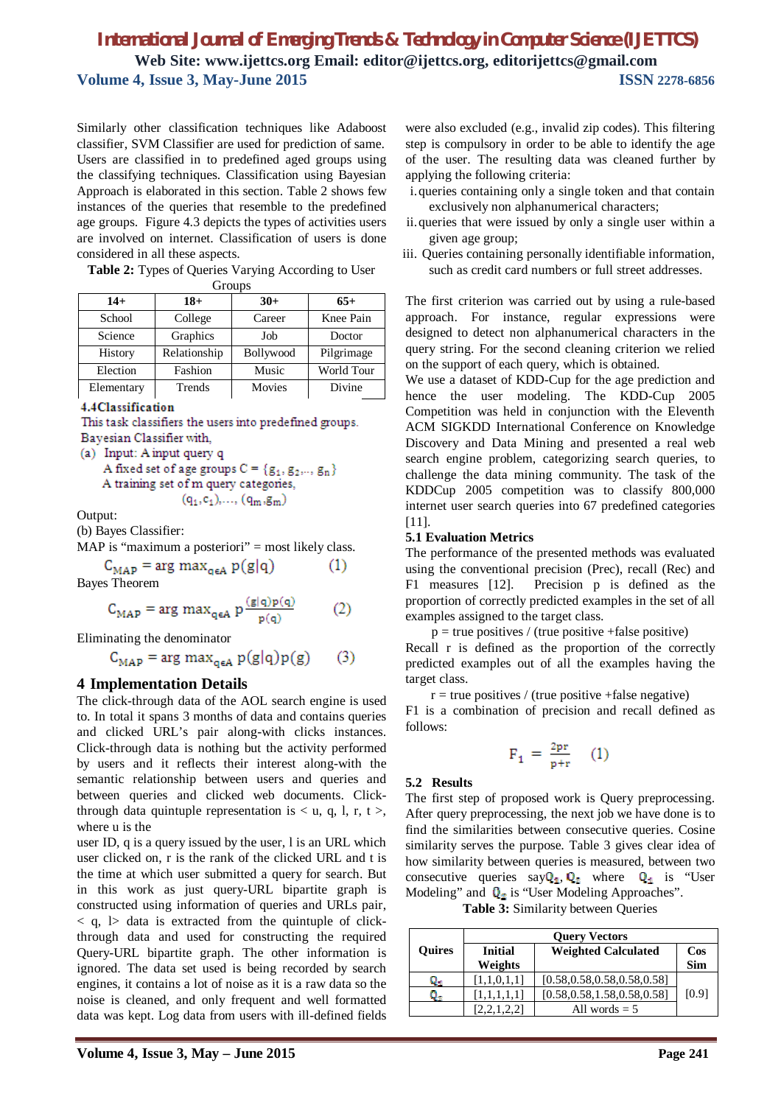Similarly other classification techniques like Adaboost classifier, SVM Classifier are used for prediction of same. Users are classified in to predefined aged groups using the classifying techniques. Classification using Bayesian Approach is elaborated in this section. Table 2 shows few instances of the queries that resemble to the predefined age groups. Figure 4.3 depicts the types of activities users are involved on internet. Classification of users is done considered in all these aspects.

**Table 2:** Types of Queries Varying According to User

| Groups     |              |                  |            |  |
|------------|--------------|------------------|------------|--|
| $14+$      | $18+$        | $65+$<br>$30+$   |            |  |
| School     | College      | Career           | Knee Pain  |  |
| Science    | Graphics     | Job              | Doctor     |  |
| History    | Relationship | <b>Bollywood</b> | Pilgrimage |  |
| Election   | Fashion      | Music            | World Tour |  |
| Elementary | Trends       | Movies           | Divine     |  |

4.4Classification

This task classifiers the users into predefined groups. Bayesian Classifier with,

A fixed set of age groups  $C \equiv \{g_1, g_2, .., g_n\}$ A training set of m query categories,  $(q_1, c_1), \ldots, (q_m, g_m)$ 

Output:

(b) Bayes Classifier:

MAP is "maximum a posteriori" = most likely class.

 $C_{MAP}$  = arg max<sub>oeA</sub>  $p(g|q)$  $(1)$ Bayes Theorem

$$
C_{MAP} = \arg \max_{q \in A} p \frac{(g|q)p(q)}{p(q)} \tag{2}
$$

Eliminating the denominator

 $C_{MAP}$  = arg max<sub>orA</sub>  $p(g|q)p(g)$  $(3)$ 

## **4 Implementation Details**

The click-through data of the AOL search engine is used to. In total it spans 3 months of data and contains queries and clicked URL's pair along-with clicks instances. Click-through data is nothing but the activity performed by users and it reflects their interest along-with the semantic relationship between users and queries and between queries and clicked web documents. Clickthrough data quintuple representation is  $\lt$  u, q, l, r, t  $\gt$ , where u is the

user ID, q is a query issued by the user, l is an URL which user clicked on, r is the rank of the clicked URL and t is the time at which user submitted a query for search. But in this work as just query-URL bipartite graph is constructed using information of queries and URLs pair,  $\langle q, \rangle$  data is extracted from the quintuple of clickthrough data and used for constructing the required Query-URL bipartite graph. The other information is ignored. The data set used is being recorded by search engines, it contains a lot of noise as it is a raw data so the noise is cleaned, and only frequent and well formatted data was kept. Log data from users with ill-defined fields

- i.queries containing only a single token and that contain exclusively non alphanumerical characters;
- ii.queries that were issued by only a single user within a given age group;
- iii. Queries containing personally identifiable information, such as credit card numbers or full street addresses.

The first criterion was carried out by using a rule-based approach. For instance, regular expressions were designed to detect non alphanumerical characters in the query string. For the second cleaning criterion we relied on the support of each query, which is obtained.

We use a dataset of KDD-Cup for the age prediction and hence the user modeling. The KDD-Cup 2005 Competition was held in conjunction with the Eleventh ACM SIGKDD International Conference on Knowledge Discovery and Data Mining and presented a real web search engine problem, categorizing search queries, to challenge the data mining community. The task of the KDDCup 2005 competition was to classify 800,000 internet user search queries into 67 predefined categories [11].

#### **5.1 Evaluation Metrics**

The performance of the presented methods was evaluated using the conventional precision (Prec), recall (Rec) and F1 measures [12]. Precision p is defined as the proportion of correctly predicted examples in the set of all examples assigned to the target class.

 $p = true$  positives / (true positive +false positive) Recall r is defined as the proportion of the correctly predicted examples out of all the examples having the target class.

 $r = true$  positives / (true positive +false negative)

F1 is a combination of precision and recall defined as follows:

$$
F_1 = \frac{2pr}{p+r} \quad (1)
$$

#### **5.2 Results**

The first step of proposed work is Query preprocessing. After query preprocessing, the next job we have done is to find the similarities between consecutive queries. Cosine similarity serves the purpose. Table 3 gives clear idea of how similarity between queries is measured, between two consecutive queries say  $Q_1$ ,  $Q_2$  where  $Q_1$  is "User Modeling" and  $\mathbf{Q}_2$  is "User Modeling Approaches".

**Table 3:** Similarity between Queries

|               | <b>Query Vectors</b> |                                |            |
|---------------|----------------------|--------------------------------|------------|
| <b>Quires</b> | <b>Initial</b>       | $\cos$                         |            |
|               | Weights              |                                | <b>Sim</b> |
| υ.            | [1,1,0,1,1]          | [0.58, 0.58, 0.58, 0.58, 0.58] |            |
|               | 1.1.1.1.11           | [0.58, 0.58, 1.58, 0.58, 0.58] | [0.9]      |
|               |                      | All words $= 5$                |            |

<sup>(</sup>a) Input: A input query q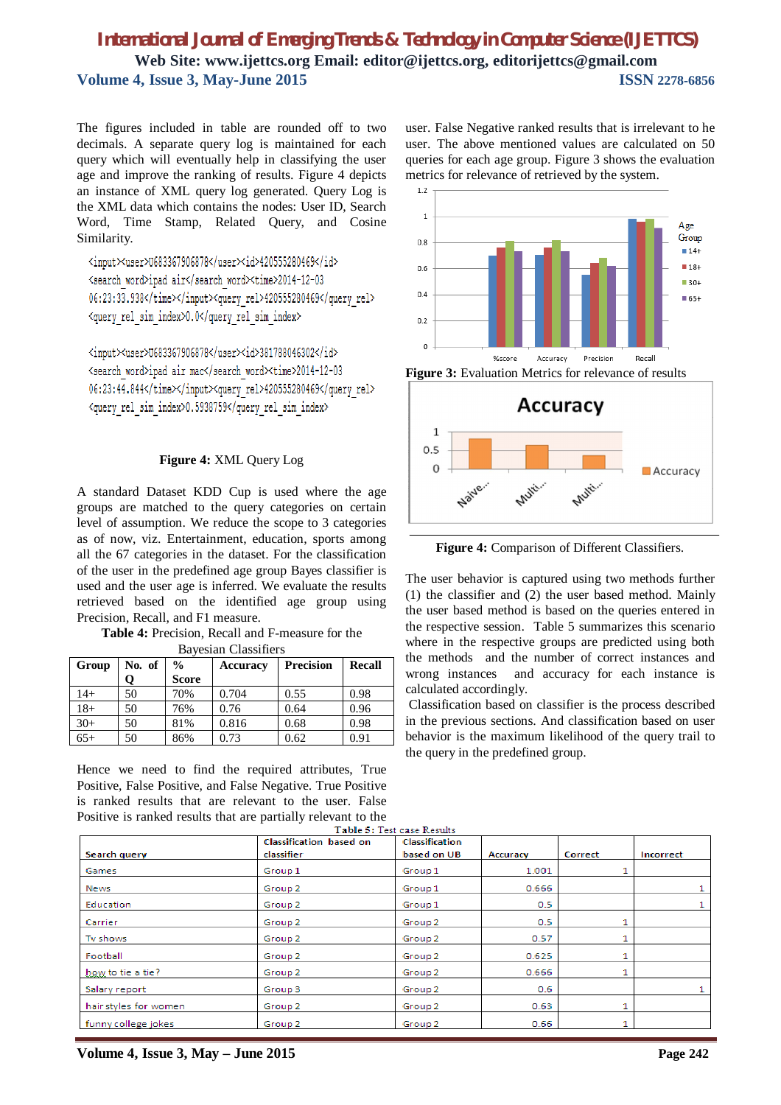$1.2$ 

The figures included in table are rounded off to two decimals. A separate query log is maintained for each query which will eventually help in classifying the user age and improve the ranking of results. Figure 4 depicts an instance of XML query log generated. Query Log is the XML data which contains the nodes: User ID, Search Word, Time Stamp, Related Query, and Cosine Similarity.

<input><user>U683367906878</user><id>420555280469</id> <search word>ipad air</search word><time>2014-12-03 06:23:33.938</time></input><query rel>420555280469</query rel> <query rel sim index>0.0</query rel sim index>

<input><user>U683367906878</user><id>381788046302</id> <search word>ipad air mac</search word><time>2014-12-03 06:23:44.844</time></input><query\_rel>420555280469</query\_rel> <query rel sim index>0.5938759</query rel sim index>

#### **Figure 4:** XML Query Log

A standard Dataset KDD Cup is used where the age groups are matched to the query categories on certain level of assumption. We reduce the scope to 3 categories as of now, viz. Entertainment, education, sports among all the 67 categories in the dataset. For the classification of the user in the predefined age group Bayes classifier is used and the user age is inferred. We evaluate the results retrieved based on the identified age group using Precision, Recall, and F1 measure.

**Table 4:** Precision, Recall and F-measure for the

|  | <b>Bayesian Classifiers</b> |
|--|-----------------------------|
|--|-----------------------------|

| Group | No. of | $\%$         | <b>Accuracy</b> | <b>Precision</b> | <b>Recall</b> |
|-------|--------|--------------|-----------------|------------------|---------------|
|       |        | <b>Score</b> |                 |                  |               |
| $14+$ | 50     | 70%          | 0.704           | 0.55             | 0.98          |
| $18+$ | 50     | 76%          | 0.76            | 0.64             | 0.96          |
| $30+$ | 50     | 81%          | 0.816           | 0.68             | 0.98          |
| $65+$ | 50     | 86%          | 0.73            | 0.62             | 0.91          |

Hence we need to find the required attributes, True Positive, False Positive, and False Negative. True Positive is ranked results that are relevant to the user. False Positive is ranked results that are partially relevant to the user. False Negative ranked results that is irrelevant to he user. The above mentioned values are calculated on 50 queries for each age group. Figure 3 shows the evaluation metrics for relevance of retrieved by the system.



**Figure 3:** Evaluation Metrics for relevance of results



**Figure 4:** Comparison of Different Classifiers.

The user behavior is captured using two methods further (1) the classifier and (2) the user based method. Mainly the user based method is based on the queries entered in the respective session. Table 5 summarizes this scenario where in the respective groups are predicted using both the methods and the number of correct instances and wrong instances and accuracy for each instance is calculated accordingly.

Classification based on classifier is the process described in the previous sections. And classification based on user behavior is the maximum likelihood of the query trail to the query in the predefined group.

|                       | Classification based on | Classification |          |         |           |
|-----------------------|-------------------------|----------------|----------|---------|-----------|
| Search query          | classifier              | based on UB    | Accuracy | Correct | Incorrect |
| Games                 | Group 1                 | Group 1        | 1.001    |         |           |
| News                  | Group 2                 | Group 1        | 0.666    |         |           |
| Education             | Group <sub>2</sub>      | Group 1        | 0.5      |         |           |
| Carrier               | Group <sub>2</sub>      | Group 2        | 0.5      |         |           |
| Tv shows              | Group <sub>2</sub>      | Group 2        | 0.57     |         |           |
| Football              | Group <sub>2</sub>      | Group 2        | 0.625    |         |           |
| how to tie a tie?     | Group <sub>2</sub>      | Group 2        | 0.666    |         |           |
| Salary report         | Group 3                 | Group 2        | 0.6      |         | 1         |
| hair styles for women | Group 2                 | Group 2        | 0.63     |         |           |
| funny college jokes   | Group 2                 | Group 2        | 0.66     |         |           |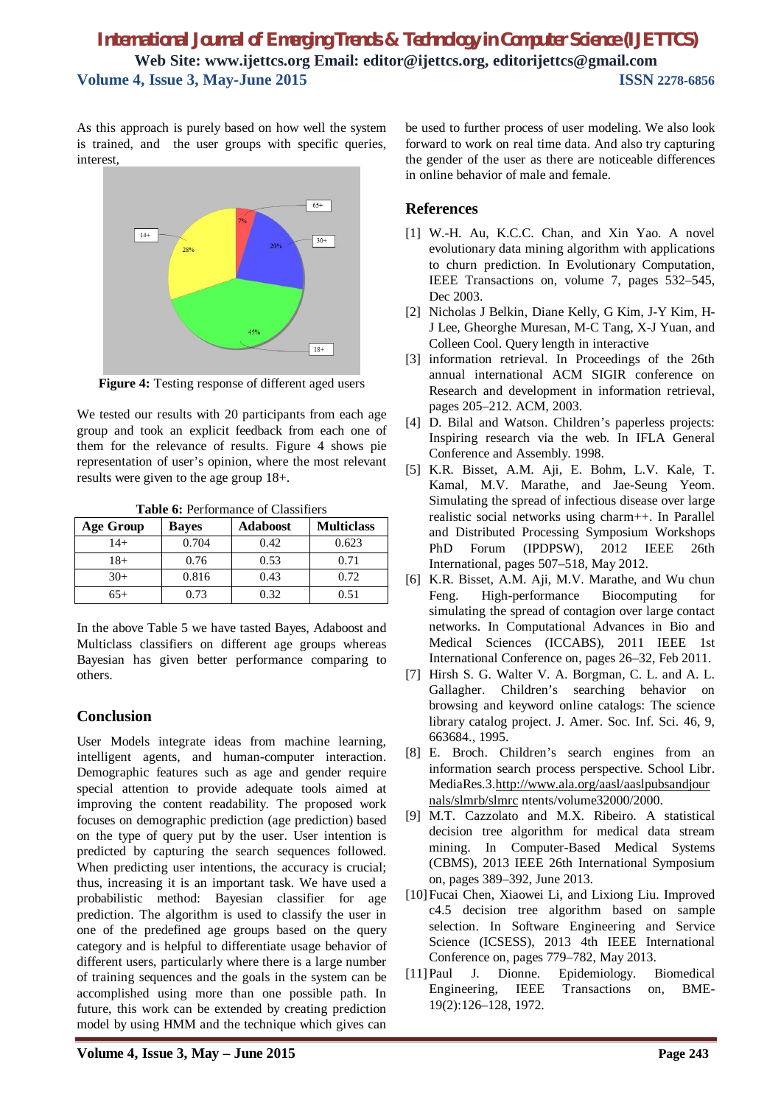As this approach is purely based on how well the system is trained, and the user groups with specific queries, interest,



**Figure 4:** Testing response of different aged users

We tested our results with 20 participants from each age group and took an explicit feedback from each one of them for the relevance of results. Figure 4 shows pie representation of user's opinion, where the most relevant results were given to the age group 18+.

| <b>Table 6: Performance of Classifiers</b> |  |
|--------------------------------------------|--|
|--------------------------------------------|--|

| <b>Age Group</b> | <b>Bayes</b> | <b>Adaboost</b> | <b>Multiclass</b> |
|------------------|--------------|-----------------|-------------------|
| $14+$            | 0.704        | 0.42.           | 0.623             |
| $18+$            | 0.76         | 0.53            | 0.71              |
| $30+$            | 0.816        | 0.43            | 0.72              |
| $65+$            | 0.73         | 0.32            | 0.51              |

In the above Table 5 we have tasted Bayes, Adaboost and Multiclass classifiers on different age groups whereas Bayesian has given better performance comparing to others.

## **Conclusion**

User Models integrate ideas from machine learning, intelligent agents, and human-computer interaction. Demographic features such as age and gender require special attention to provide adequate tools aimed at improving the content readability. The proposed work focuses on demographic prediction (age prediction) based on the type of query put by the user. User intention is predicted by capturing the search sequences followed. When predicting user intentions, the accuracy is crucial; thus, increasing it is an important task. We have used a probabilistic method: Bayesian classifier for age prediction. The algorithm is used to classify the user in one of the predefined age groups based on the query category and is helpful to differentiate usage behavior of different users, particularly where there is a large number of training sequences and the goals in the system can be accomplished using more than one possible path. In future, this work can be extended by creating prediction model by using HMM and the technique which gives can

be used to further process of user modeling. We also look forward to work on real time data. And also try capturing the gender of the user as there are noticeable differences in online behavior of male and female.

### **References**

- [1] W.-H. Au, K.C.C. Chan, and Xin Yao. A novel evolutionary data mining algorithm with applications to churn prediction. In Evolutionary Computation, IEEE Transactions on, volume 7, pages 532–545, Dec 2003.
- [2] Nicholas J Belkin, Diane Kelly, G Kim, J-Y Kim, H-J Lee, Gheorghe Muresan, M-C Tang, X-J Yuan, and Colleen Cool. Query length in interactive
- [3] information retrieval. In Proceedings of the 26th annual international ACM SIGIR conference on Research and development in information retrieval, pages 205–212. ACM, 2003.
- [4] D. Bilal and Watson. Children's paperless projects: Inspiring research via the web. In IFLA General Conference and Assembly. 1998.
- [5] K.R. Bisset, A.M. Aji, E. Bohm, L.V. Kale, T. Kamal, M.V. Marathe, and Jae-Seung Yeom. Simulating the spread of infectious disease over large realistic social networks using charm++. In Parallel and Distributed Processing Symposium Workshops PhD Forum (IPDPSW), 2012 IEEE 26th International, pages 507–518, May 2012.
- [6] K.R. Bisset, A.M. Aji, M.V. Marathe, and Wu chun Feng. High-performance Biocomputing for simulating the spread of contagion over large contact networks. In Computational Advances in Bio and Medical Sciences (ICCABS), 2011 IEEE 1st International Conference on, pages 26–32, Feb 2011.
- [7] Hirsh S. G. Walter V. A. Borgman, C. L. and A. L. Gallagher. Children's searching behavior on browsing and keyword online catalogs: The science library catalog project. J. Amer. Soc. Inf. Sci. 46, 9, 663684., 1995.
- [8] E. Broch. Children's search engines from an information search process perspective. School Libr. MediaRes.3.http://www.ala.org/aasl/aaslpubsandjour nals/slmrb/slmrc ntents/volume32000/2000.
- [9] M.T. Cazzolato and M.X. Ribeiro. A statistical decision tree algorithm for medical data stream mining. In Computer-Based Medical Systems (CBMS), 2013 IEEE 26th International Symposium on, pages 389–392, June 2013.
- [10]Fucai Chen, Xiaowei Li, and Lixiong Liu. Improved c4.5 decision tree algorithm based on sample selection. In Software Engineering and Service Science (ICSESS), 2013 4th IEEE International Conference on, pages 779–782, May 2013.
- [11]Paul J. Dionne. Epidemiology. Biomedical Engineering, IEEE Transactions on, BME-19(2):126–128, 1972.